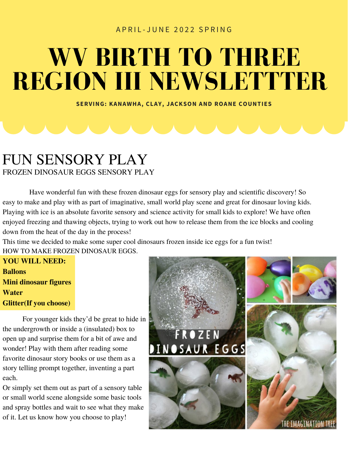#### A P R I L - J U N E 2022 S P R I N G

# **WV BIRTH TO THREE REGION III NEWSLETTTER**

**SERVING: KANAWHA, CLAY, JACKSON AND ROANE COUNTIES**

### FROZEN DINOSAUR EGGS SENSORY PLAY FUN SENSORY PLAY

Have wonderful fun with these [frozen](https://theimaginationtree.com/category/ice) [dinosaur](https://theimaginationtree.com/category/dinosaurs) eggs for sensory play and scientific discovery! So easy to make and play with as part of imaginative, small world play scene and great for dinosaur loving kids. [Playing](https://theimaginationtree.com/2012/05/freezing-and-melting-objects-in-ice.html) with ice is an absolute favorite sensory and science activity for small kids to explore! We have often enjoyed freezing and thawing objects, trying to work out how to release them from the ice blocks and cooling down from the heat of the day in the process!

This time we decided to make some super cool dinosaurs frozen inside ice eggs for a fun twist! HOW TO MAKE FROZEN DINOSAUR EGGS.

**YOU WILL NEED: Ballons Mini [dinosaur](http://amzn.to/2cQ20qi) figures Water Glitter(If you choose)**

For younger kids they'd be great to hide in the undergrowth or inside a (insulated) box to open up and surprise them for a bit of awe and wonder! Play with them after reading some favorite dinosaur story books or use them as a story telling prompt together, inventing a part each.

Or simply set them out as part of a sensory table or small world scene alongside some basic tools and spray bottles and wait to see what they make of it. Let us know how you choose to play!

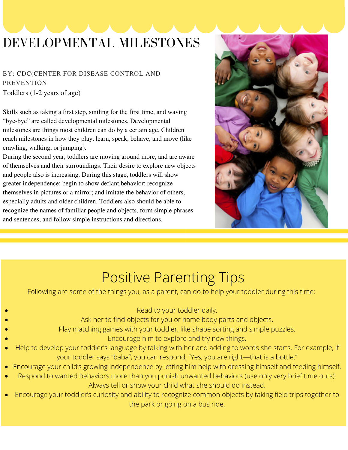## DEVELOPMENTAL MILESTONES

BY: CDC(CENTER FOR DISEASE CONTROL AND PREVENTION Toddlers (1-2 years of age)

Skills such as taking a first step, smiling for the first time, and waving "bye-bye" are called developmental milestones. Developmental milestones are things most children can do by a certain age. Children reach milestones in how they play, learn, speak, behave, and move (like crawling, walking, or jumping).

During the second year, toddlers are moving around more, and are aware of themselves and their surroundings. Their desire to explore new objects and people also is increasing. During this stage, toddlers will show greater independence; begin to show defiant behavior; recognize themselves in pictures or a mirror; and imitate the behavior of others, especially adults and older children. Toddlers also should be able to recognize the names of familiar people and objects, form simple phrases and sentences, and follow simple instructions and directions.



## Positive Parenting Tips

Following are some of the things you, as a parent, can do to help your toddler during this time:

- Read to your toddler daily.
	- Ask her to find objects for you or name body parts and objects.
	- Play matching games with your toddler, like shape sorting and simple puzzles.
		- Encourage him to explore and try new things.
- Help to develop your toddler's language by talking with her and adding to words she starts. For example, if your toddler says "baba", you can respond, "Yes, you are right―that is a bottle."
- Encourage your child's growing independence by letting him help with dressing himself and feeding himself.
- Respond to wanted behaviors more than you punish unwanted behaviors (use only very brief time outs). Always tell or show your child what she should do instead.
- Encourage your toddler's curiosity and ability to recognize common objects by taking field trips together to the park or going on a bus ride.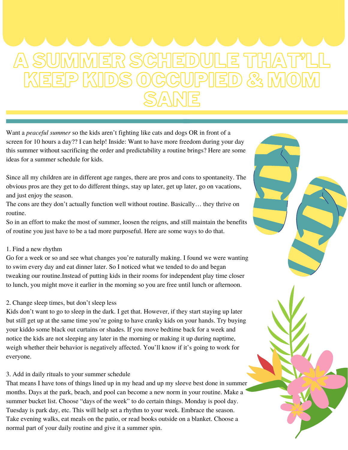## MER SCHEDULE KEEP KIDS OCCUPIED & MOM SANE

Want a *peaceful summer* so the kids aren't fighting like cats and dogs OR in front of a screen for 10 hours a day?? I can help! Inside: Want to have more freedom during your day this summer without sacrificing the order and [predictability](https://amotherfarfromhome.clickfunnels.com/summer-rhythms) a routine brings? Here are some ideas for a summer schedule for kids.

Since all my children are in different age ranges, there are pros and cons to spontaneity. The obvious pros are they get to do different things, stay up later, get up later, go on vacations, and just enjoy the season.

The cons are they don't actually function well without routine. Basically… they [thrive](https://amotherfarfromhome.com/how-routine-brings-sanity-multiple-children-series/) on [routine](https://amotherfarfromhome.com/how-routine-brings-sanity-multiple-children-series/).

So in an effort to make the most of summer, loosen the reigns, and still maintain the [benefits](https://amotherfarfromhome.com/routine-not-just-for-type-a-moms/) of [routine](https://amotherfarfromhome.com/routine-not-just-for-type-a-moms/) you just have to be a tad more purposeful. Here are some ways to do that.

#### 1. Find a new rhythm

Go for a week or so and see what changes you're naturally making. I found we were wanting to swim every day and eat dinner later. So I noticed what we tended to do and began tweaking our routine.Instead of putting kids in their rooms for [independent](https://amotherfarfromhome.com/independent-play/) play time closer to lunch, you might move it earlier in the morning so you are free until lunch or afternoon.

#### 2. Change sleep times, but don't sleep less

Kids don't want to go to sleep in the dark. I get that. However, if they start staying up later but still get up at the same time you're going to have [cranky](https://amotherfarfromhome.com/category/sleeping/) kids on your hands. Try buying your kiddo some black out curtains or shades. If you move bedtime back for a week and notice the kids are not sleeping any later in the morning or making it up during naptime, weigh whether their behavior is negatively affected. You'll know if it's going to work for everyone.

#### 3. Add in daily rituals to your summer schedule

That means I have tons of things lined up in my head and up my sleeve best done in summer months. Days at the park, beach, and pool can become a new norm in your routine. Make a summer bucket list. Choose "days of the week" to do certain things. Monday is pool day. Tuesday is park day, etc. This will help set a rhythm to your week. Embrace the season. Take evening walks, eat meals on the patio, or read books outside on a blanket. Choose a normal part of your daily routine and give it a summer spin.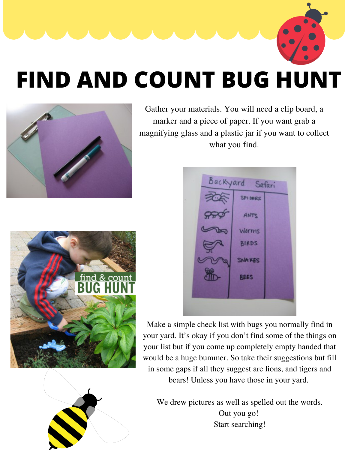

# **FIND AND COUNT BUG HUNT**



Gather your materials. You will need a clip board, a marker and a piece of paper. If you want grab a magnifying glass and a plastic jar if you want to collect what you find.





We drew pictures as well as spelled out the words. Out you go! Start searching!



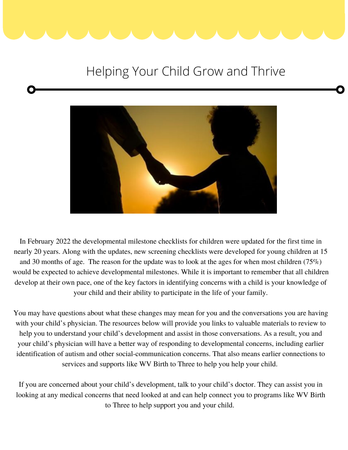

## Helping Your Child Grow and Thrive



In February 2022 the developmental milestone checklists for children were updated for the first time in nearly 20 years. Along with the updates, new screening checklists were developed for young children at 15 and 30 months of age. The reason for the update was to look at the ages for when most children (75%) would be expected to achieve developmental milestones. While it is important to remember that all children develop at their own pace, one of the key factors in identifying concerns with a child is your knowledge of your child and their ability to participate in the life of your family.

You may have questions about what these changes may mean for you and the conversations you are having with your child's physician. The resources below will provide you links to valuable materials to review to help you to understand your child's development and assist in those conversations. As a result, you and your child's physician will have a better way of responding to developmental concerns, including earlier identification of autism and other social-communication concerns. That also means earlier connections to services and supports like WV Birth to Three to help you help your child.

If you are concerned about your child's development, talk to your child's doctor. They can assist you in looking at any medical concerns that need looked at and can help connect you to programs like WV Birth to Three to help support you and your child.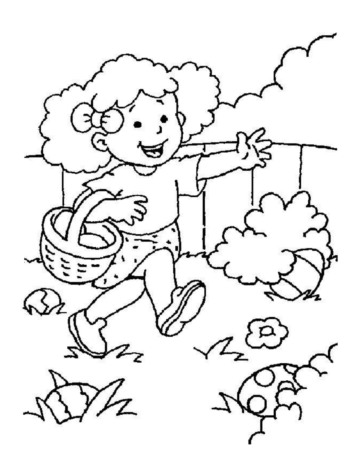